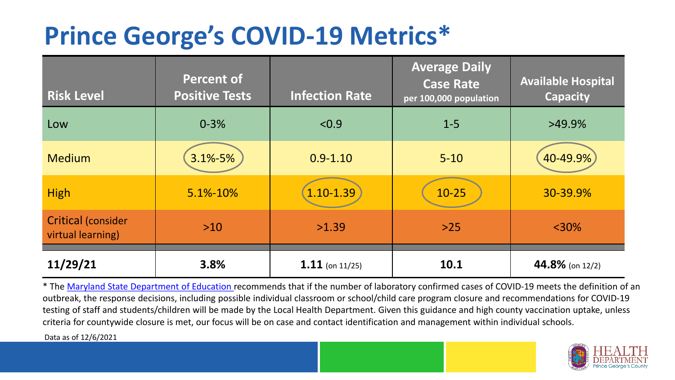## **Prince George's COVID-19 Metrics\***

| <b>Risk Level</b>                              | <b>Percent of</b><br><b>Positive Tests</b> | <b>Infection Rate</b> | <b>Average Daily</b><br><b>Case Rate</b><br>per 100,000 population | <b>Available Hospital</b><br><b>Capacity</b> |
|------------------------------------------------|--------------------------------------------|-----------------------|--------------------------------------------------------------------|----------------------------------------------|
| Low                                            | $0 - 3%$                                   | < 0.9                 | $1 - 5$                                                            | $>49.9\%$                                    |
| <b>Medium</b>                                  | 3.1%-5%                                    | $0.9 - 1.10$          | $5 - 10$                                                           | 40-49.9%                                     |
| <b>High</b>                                    | 5.1%-10%                                   | 1.10-1.39             | $10 - 25$                                                          | 30-39.9%                                     |
| <b>Critical (consider</b><br>virtual learning) | $>10$                                      | >1.39                 | $>25$                                                              | $<$ 30%                                      |
| 11/29/21                                       | 3.8%                                       | $1.11$ (on 11/25)     | 10.1                                                               | 44.8% (on 12/2)                              |

\* The [Maryland State Department of Education r](https://earlychildhood.marylandpublicschools.org/system/files/filedepot/3/covid_guidance_full_080420.pdf)ecommends that if the number of laboratory confirmed cases of COVID-19 meets the definition of an outbreak, the response decisions, including possible individual classroom or school/child care program closure and recommendations for COVID-19 testing of staff and students/children will be made by the Local Health Department. Given this guidance and high county vaccination uptake, unless criteria for countywide closure is met, our focus will be on case and contact identification and management within individual schools.

Data as of 12/6/2021

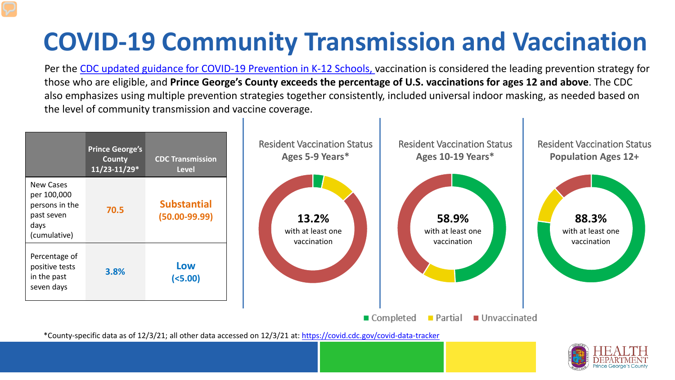# **COVID-19 Community Transmission and Vaccination**

Per the [CDC updated guidance for COVID-19 Prevention in K-12 Schools,](https://www.cdc.gov/coronavirus/2019-ncov/community/schools-childcare/k-12-guidance.html) vaccination is considered the leading prevention strategy for those who are eligible, and **Prince George's County exceeds the percentage of U.S. vaccinations for ages 12 and above**. The CDC also emphasizes using multiple prevention strategies together consistently, included universal indoor masking, as needed based on the level of community transmission and vaccine coverage.



\*County-specific data as of 12/3/21; all other data accessed on 12/3/21 at:<https://covid.cdc.gov/covid-data-tracker>

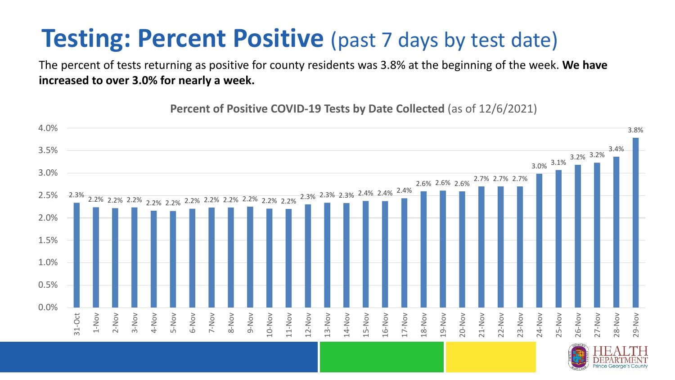### **Testing: Percent Positive** (past 7 days by test date)

The percent of tests returning as positive for county residents was 3.8% at the beginning of the week. **We have increased to over 3.0% for nearly a week.**

**Percent of Positive COVID-19 Tests by Date Collected** (as of 12/6/2021)

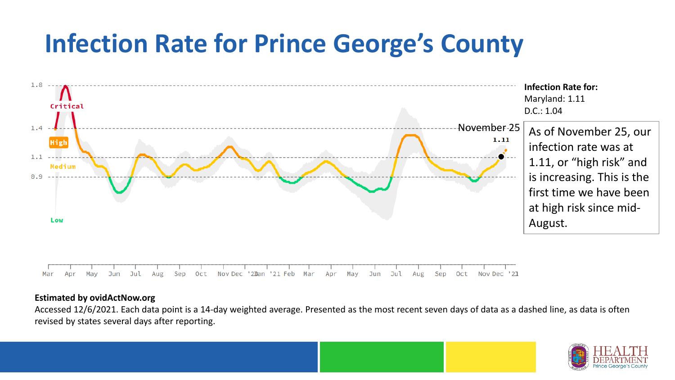## **Infection Rate for Prince George's County**



#### **Estimated by ovidActNow.org**

Accessed 12/6/2021. Each data point is a 14-day weighted average. Presented as the most recent seven days of data as a dashed line, as data is often revised by states several days after reporting.

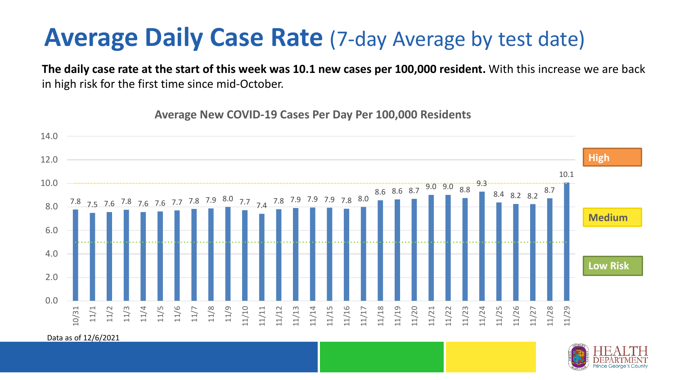#### **Average Daily Case Rate** (7-day Average by test date)

**The daily case rate at the start of this week was 10.1 new cases per 100,000 resident.** With this increase we are back in high risk for the first time since mid-October.

7.8 7.5 7.6 7.8 7.6 7.6 7.7 7.8 7.9 8.0 7.7 7.4 7.8 7.9 7.9 7.9 7.8 8.0 8.6 8.6 8.7 9.0 9.0 8.8 9.3 8.4 8.2 8.2 8.7 10.1  $0.0$ 2.0 4.0 6.0 8.0 10.0 12.0 14.0 10/31 11/1 11/2 11/3 11/4 11/5 11/6 11/7 11/8 11/9 11/10 11/11 11/12 11/13 11/14 11/15 11/16 11/17 11/18 11/19 11/20 11/21 11/22 11/23 11/24 11/25 11/26 11/27 11/28 11/29 **Low Risk Medium High**

**Average New COVID-19 Cases Per Day Per 100,000 Residents**

Data as of 12/6/2021